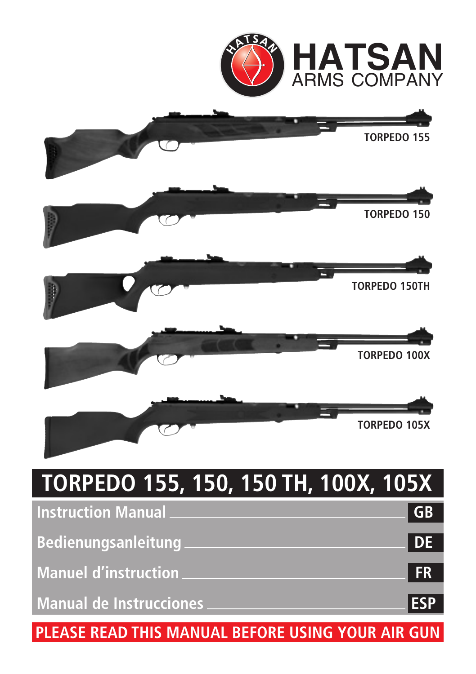



| TORPEDO 155, 150, 150 TH, 100X, 105X |  |
|--------------------------------------|--|
|--------------------------------------|--|

| <b>Instruction Manual</b>      | <b>GB</b>   |
|--------------------------------|-------------|
| <b>Bedienungsanleitung</b>     | <b>DE</b>   |
| Manuel d'instruction           | <b>FR</b>   |
| <b>Manual de Instrucciones</b> | <b>IESP</b> |
|                                |             |

**PLEASE READ THIS MANUAL BEFORE USING YOUR AIR GUN**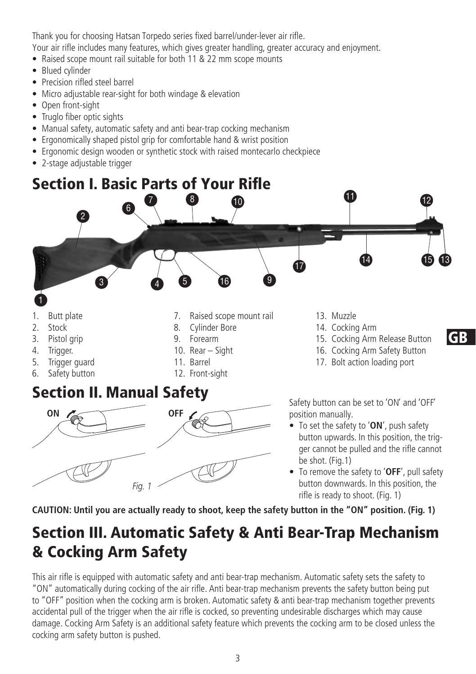Thank you for choosing Hatsan Torpedo series fixed barrel/under-lever air rifle.

Your air rifle includes many features, which gives greater handling, greater accuracy and enjoyment.

- Raised scope mount rail suitable for both 11 & 22 mm scope mounts
- Blued cylinder
- Precision rifled steel barrel
- Micro adjustable rear-sight for both windage & elevation
- Open front-sight
- Truglo fiber optic sights
- Manual safety, automatic safety and anti bear-trap cocking mechanism
- Ergonomically shaped pistol grip for comfortable hand & wrist position
- Ergonomic design wooden or synthetic stock with raised montecarlo checkpiece

7 8

4 5

• 2-stage adjustable trigger

2

3

# Section I. Basic Parts of Your Rifle

6

- 1. Butt plate
- 2. Stock

1

- 3. Pistol grip
- 4. Trigger.
- 5. Trigger guard
- 6. Safety button

7. Raised scope mount rail

16

10

9

- 8. Cylinder Bore
- 9. Forearm
- 10. Rear Sight
- 11. Barrel
- 12. Front-sight

13. Muzzle

 $\mathbf{r}$  14

- 14. Cocking Arm
- 15. Cocking Arm Release Button

 $12$ 

15 13

GB

- 16. Cocking Arm Safety Button
- 17. Bolt action loading port

### Section II. Manual Safety



Safety button can be set to 'ON' and 'OFF' position manually.

- To set the safety to 'ON', push safety button upwards. In this position, the trigger cannot be pulled and the rifle cannot be shot. (Fig.1)
- To remove the safety to 'OFF', pull safety button downwards. In this position, the rifle is ready to shoot. (Fig. 1)

**CAUTION: Until you are actually ready to shoot, keep the safety button in the "ON" position. (Fig. 1)**

### Section III. Automatic Safety & Anti Bear-Trap Mechanism & Cocking Arm Safety

This air rifle is equipped with automatic safety and anti bear-trap mechanism. Automatic safety sets the safety to "ON" automatically during cocking of the air rifle. Anti bear-trap mechanism prevents the safety button being put to "OFF" position when the cocking arm is broken. Automatic safety & anti bear-trap mechanism together prevents accidental pull of the trigger when the air rifle is cocked, so preventing undesirable discharges which may cause damage. Cocking Arm Safety is an additional safety feature which prevents the cocking arm to be closed unless the cocking arm safety button is pushed.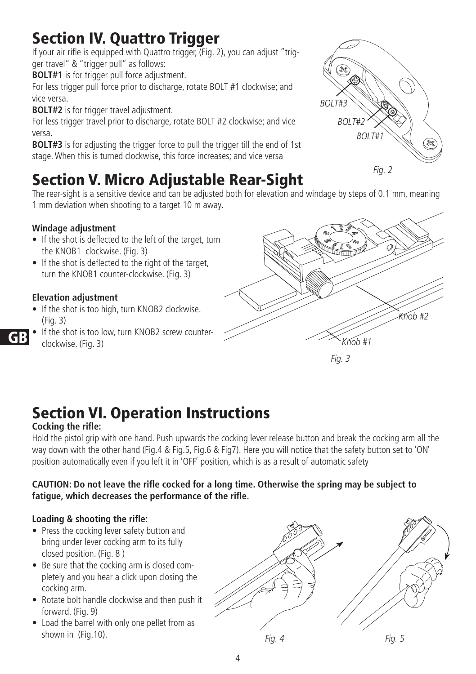# **Section IV. Quattro Trigger**

If your air rifle is equipped with Quattro trigger, (Fig. 2), you can adjust "trigger travel" & "trigger pull" as follows:

**BOLT#1** is for trigger pull force adjustment.

For less trigger pull force prior to discharge, rotate BOLT #1 clockwise; and vice versa.

**BOLT#2** is for trigger travel adjustment.

For less trigger travel prior to discharge, rotate BOLT #2 clockwise; and vice versa.

**BOLT#3** is for adjusting the trigger force to pull the trigger till the end of 1st stage. When this is turned clockwise, this force increases; and vice versa

# Section V. Micro Adjustable Rear-Sight

The rear-sight is a sensitive device and can be adjusted both for elevation and windage by steps of 0.1 mm, meaning 1 mm deviation when shooting to a target 10 m away.

#### **Windage adjustment**

- If the shot is deflected to the left of the target, turn the KNOB1 clockwise. (Fig. 3)
- If the shot is deflected to the right of the target. turn the KNOB1 counter-clockwise. (Fig. 3)

#### **Elevation adjustment**

- If the shot is too high, turn KNOB2 clockwise. (Fig. 3)
- If the shot is too low, turn KNOB2 screw counterclockwise. (Fig. 3)



*Fig. 3*

# Section VI. Operation Instructions

#### **Cocking the rifle:**

Hold the pistol grip with one hand. Push upwards the cocking lever release button and break the cocking arm all the way down with the other hand (Fig.4 & Fig.5, Fig.6 & Fig7). Here you will notice that the safety button set to 'ON' position automatically even if you left it in 'OFF' position, which is as a result of automatic safety

#### **CAUTION: Do not leave the rifle cocked for a long time. Otherwise the spring may be subject to fatigue, which decreases the performance of the rifle.**

#### **Loading & shooting the rifle:**

- Press the cocking lever safety button and bring under lever cocking arm to its fully closed position. (Fig. 8 )
- Be sure that the cocking arm is closed completely and you hear a click upon closing the cocking arm.
- Rotate bolt handle clockwise and then push it forward. (Fig. 9)
- Load the barrel with only one pellet from as shown in (Fig.10).





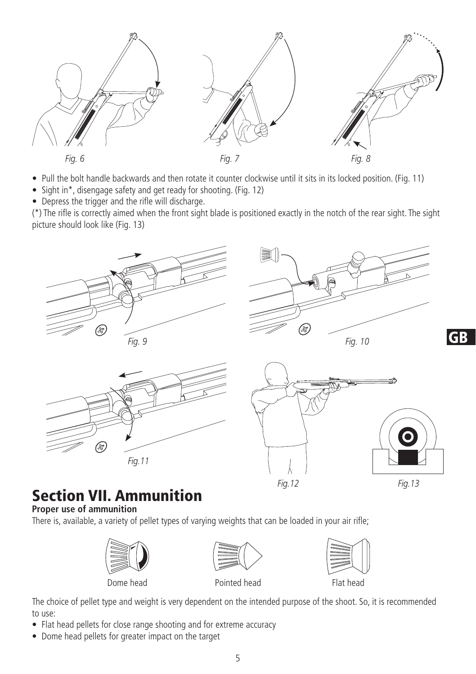

- Pull the bolt handle backwards and then rotate it counter clockwise until it sits in its locked position. (Fig. 11)
- Sight in\*, disengage safety and get ready for shooting. (Fig. 12)
- Depress the trigger and the rifle will discharge.

(\*) The rifle is correctly aimed when the front sight blade is positioned exactly in the notch of the rear sight. The sight picture should look like (Fig. 13)



### Section VII. Ammunition

#### **Proper use of ammunition**

There is, available, a variety of pellet types of varying weights that can be loaded in your air rifle;







The choice of pellet type and weight is very dependent on the intended purpose of the shoot. So, it is recommended to use:

- Flat head pellets for close range shooting and for extreme accuracy
- Dome head pellets for greater impact on the target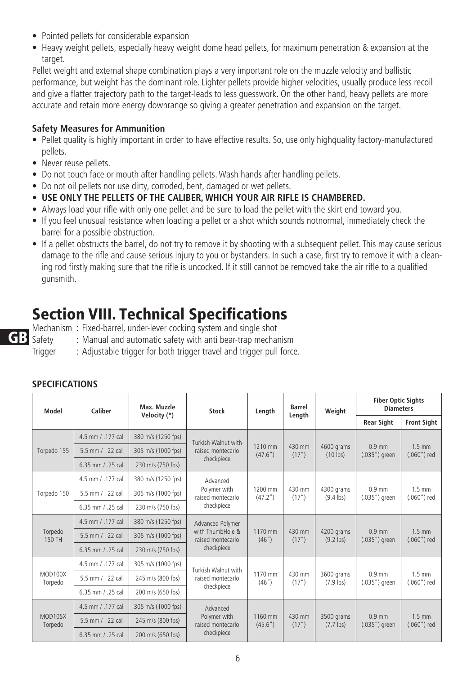- Pointed pellets for considerable expansion
- • Heavy weight pellets, especially heavy weight dome head pellets, for maximum penetration & expansion at the target.

Pellet weight and external shape combination plays a very important role on the muzzle velocity and ballistic performance, but weight has the dominant role. Lighter pellets provide higher velocities, usually produce less recoil and give a flatter trajectory path to the target-leads to less guesswork. On the other hand, heavy pellets are more accurate and retain more energy downrange so giving a greater penetration and expansion on the target.

#### **Safety Measures for Ammunition**

- Pellet quality is highly important in order to have effective results. So, use only highquality factory-manufactured pellets.
- Never reuse pellets.
- Do not touch face or mouth after handling pellets. Wash hands after handling pellets.
- Do not oil pellets nor use dirty, corroded, bent, damaged or wet pellets.
- **• USE ONLY THE PELLETS OF THE CALIBER, WHICH YOUR AIR RIFLE IS CHAMBERED.**
- • Always load your rifle with only one pellet and be sure to load the pellet with the skirt end toward you.
- • If you feel unusual resistance when loading a pellet or a shot which sounds notnormal, immediately check the barrel for a possible obstruction.
- If a pellet obstructs the barrel, do not try to remove it by shooting with a subsequent pellet. This may cause serious damage to the rifle and cause serious injury to you or bystanders. In such a case, first try to remove it with a cleaning rod firstly making sure that the rifle is uncocked. If it still cannot be removed take the air rifle to a qualified gunsmith.

# Section VIII. Technical Specifications

Mechanism : Fixed-barrel, under-lever cocking system and single shot

- Safety : Manual and automatic safety with anti bear-trap mechanism
- Trigger : Adjustable trigger for both trigger travel and trigger pull force.

| Model                     | Caliber             | Max. Muzzle<br>Velocity (*) | Stock                                                                   | Length              | Barrel<br>Length | Weight                    | <b>Fiber Optic Sights</b><br><b>Diameters</b> |                                 |
|---------------------------|---------------------|-----------------------------|-------------------------------------------------------------------------|---------------------|------------------|---------------------------|-----------------------------------------------|---------------------------------|
|                           |                     |                             |                                                                         |                     |                  |                           | <b>Rear Sight</b>                             | <b>Front Sight</b>              |
| Torpedo 155               | 4.5 mm / .177 cal   | 380 m/s (1250 fps)          | Turkish Walnut with<br>raised montecarlo                                | 1210 mm<br>(47.6'') | 430 mm<br>(17")  | 4600 grams<br>$(10$ lbs)  | $0.9$ mm<br>(.035") green                     | $1.5$ mm<br>$(.060")$ red       |
|                           | 5.5 mm $/$ . 22 cal | 305 m/s (1000 fps)          |                                                                         |                     |                  |                           |                                               |                                 |
|                           | 6.35 mm / .25 cal   | 230 m/s (750 fps)           | checkpiece                                                              |                     |                  |                           |                                               |                                 |
| Torpedo 150               | 4.5 mm / .177 cal   | 380 m/s (1250 fps)          | Advanced<br>Polymer with<br>raised montecarlo                           | 1200 mm<br>(47.2'') | 430 mm<br>(17")  | 4300 grams<br>$(9.4$ lbs) | $0.9$ mm<br>$(.035")$ green                   | $1.5$ mm<br>$(.060")$ red       |
|                           | 5.5 mm / . 22 cal   | 305 m/s (1000 fps)          |                                                                         |                     |                  |                           |                                               |                                 |
|                           | 6.35 mm / .25 cal   | 230 m/s (750 fps)           | checkpiece                                                              |                     |                  |                           |                                               |                                 |
| Torpedo<br>150 TH         | 4.5 mm / .177 cal   | 380 m/s (1250 fps)          | Advanced Polymer<br>with ThumbHole &<br>raised montecarlo<br>checkpiece | 1170 mm<br>(46")    | 430 mm<br>(17")  | 4200 grams<br>$(9.2$ lbs) | $0.9$ mm<br>(.035") green                     | $1.5$ mm<br>$(.060")$ red       |
|                           | 5.5 mm / . 22 cal   | 305 m/s (1000 fps)          |                                                                         |                     |                  |                           |                                               |                                 |
|                           | 6.35 mm / .25 cal   | 230 m/s (750 fps)           |                                                                         |                     |                  |                           |                                               |                                 |
| MOD100X<br>Torpedo        | 4.5 mm / .177 cal   | 305 m/s (1000 fps)          | Turkish Walnut with<br>raised montecarlo                                | 1170 mm<br>(46")    | 430 mm<br>(17")  | 3600 grams<br>$(7.9$ lbs) | $0.9$ mm<br>(.035") green                     | $1.5 \text{ mm}$<br>(.060") red |
|                           | 5.5 mm / . 22 cal   | 245 m/s (800 fps)           |                                                                         |                     |                  |                           |                                               |                                 |
|                           | 6.35 mm / .25 cal   | 200 m/s (650 fps)           | checkpiece                                                              |                     |                  |                           |                                               |                                 |
| <b>MOD105X</b><br>Torpedo | 4.5 mm / .177 cal   | 305 m/s (1000 fps)          | Advanced<br>Polymer with<br>raised montecarlo<br>checkpiece             | 1160 mm<br>(45.6")  | 430 mm<br>(17")  | 3500 grams<br>$(7.7$ lbs) | $0.9$ mm<br>$(.035")$ green                   | $1.5$ mm<br>$(.060")$ red       |
|                           | 5.5 mm / . 22 cal   | 245 m/s (800 fps)           |                                                                         |                     |                  |                           |                                               |                                 |
|                           | 6.35 mm / .25 cal   | 200 m/s (650 fps)           |                                                                         |                     |                  |                           |                                               |                                 |

#### **SPECIFICATIONS**

GB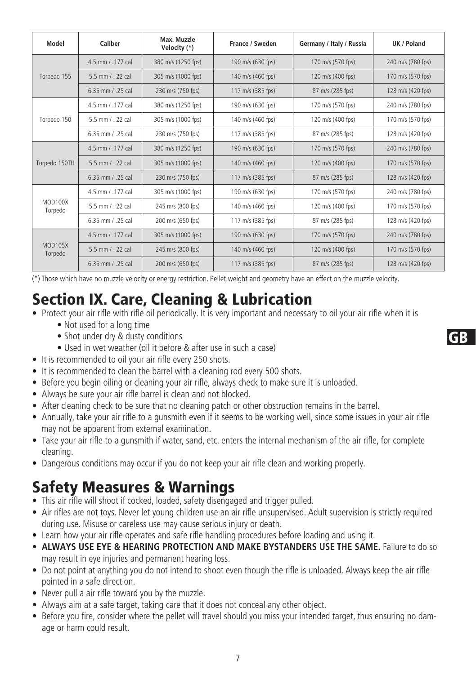| Model                     | Caliber             | Max. Muzzle<br>Velocity (*) | France / Sweden   | Germany / Italy / Russia | UK / Poland       |
|---------------------------|---------------------|-----------------------------|-------------------|--------------------------|-------------------|
| Torpedo 155               | 4.5 mm / .177 cal   | 380 m/s (1250 fps)          | 190 m/s (630 fps) | 170 m/s (570 fps)        | 240 m/s (780 fps) |
|                           | 5.5 mm / . 22 cal   | 305 m/s (1000 fps)          | 140 m/s (460 fps) | 120 m/s (400 fps)        | 170 m/s (570 fps) |
|                           | 6.35 mm $/$ .25 cal | 230 m/s (750 fps)           | 117 m/s (385 fps) | 87 m/s (285 fps)         | 128 m/s (420 fps) |
| Torpedo 150               | 4.5 mm / .177 cal   | 380 m/s (1250 fps)          | 190 m/s (630 fps) | 170 m/s (570 fps)        | 240 m/s (780 fps) |
|                           | 5.5 mm / . 22 cal   | 305 m/s (1000 fps)          | 140 m/s (460 fps) | 120 m/s (400 fps)        | 170 m/s (570 fps) |
|                           | 6.35 mm / .25 cal   | 230 m/s (750 fps)           | 117 m/s (385 fps) | 87 m/s (285 fps)         | 128 m/s (420 fps) |
| Torpedo 150TH             | 4.5 mm / .177 cal   | 380 m/s (1250 fps)          | 190 m/s (630 fps) | 170 m/s (570 fps)        | 240 m/s (780 fps) |
|                           | 5.5 mm / . 22 cal   | 305 m/s (1000 fps)          | 140 m/s (460 fps) | 120 m/s (400 fps)        | 170 m/s (570 fps) |
|                           | 6.35 mm / .25 cal   | 230 m/s (750 fps)           | 117 m/s (385 fps) | 87 m/s (285 fps)         | 128 m/s (420 fps) |
| MOD100X<br>Torpedo        | 4.5 mm / .177 cal   | 305 m/s (1000 fps)          | 190 m/s (630 fps) | 170 m/s (570 fps)        | 240 m/s (780 fps) |
|                           | 5.5 mm / . 22 cal   | 245 m/s (800 fps)           | 140 m/s (460 fps) | 120 m/s (400 fps)        | 170 m/s (570 fps) |
|                           | 6.35 mm $/$ .25 cal | 200 m/s (650 fps)           | 117 m/s (385 fps) | 87 m/s (285 fps)         | 128 m/s (420 fps) |
| <b>MOD105X</b><br>Torpedo | 4.5 mm / .177 cal   | 305 m/s (1000 fps)          | 190 m/s (630 fps) | 170 m/s (570 fps)        | 240 m/s (780 fps) |
|                           | 5.5 mm / . 22 cal   | 245 m/s (800 fps)           | 140 m/s (460 fps) | 120 m/s (400 fps)        | 170 m/s (570 fps) |
|                           | 6.35 mm $/$ .25 cal | 200 m/s (650 fps)           | 117 m/s (385 fps) | 87 m/s (285 fps)         | 128 m/s (420 fps) |

(\*) Those which have no muzzle velocity or energy restriction. Pellet weight and geometry have an effect on the muzzle velocity.

### Section IX. Care, Cleaning & Lubrication

- Protect your air rifle with rifle oil periodically. It is very important and necessary to oil your air rifle when it is
	- Not used for a long time
	- Shot under dry & dusty conditions
	- Used in wet weather (oil it before & after use in such a case)
- It is recommended to oil your air rifle every 250 shots.
- It is recommended to clean the barrel with a cleaning rod every 500 shots.
- Before you begin oiling or cleaning your air rifle, always check to make sure it is unloaded.
- Always be sure your air rifle barrel is clean and not blocked.
- After cleaning check to be sure that no cleaning patch or other obstruction remains in the barrel.
- • Annually, take your air rifle to a gunsmith even if it seems to be working well, since some issues in your air rifle may not be apparent from external examination.
- Take your air rifle to a gunsmith if water, sand, etc. enters the internal mechanism of the air rifle, for complete cleaning.
- Dangerous conditions may occur if you do not keep your air rifle clean and working properly.

### Safety Measures & Warnings

- This air rifle will shoot if cocked, loaded, safety disengaged and trigger pulled.
- Air rifles are not toys. Never let young children use an air rifle unsupervised. Adult supervision is strictly required during use. Misuse or careless use may cause serious injury or death.
- Learn how your air rifle operates and safe rifle handling procedures before loading and using it.
- **• ALWAYS USE EYE & HEARING PROTECTION AND MAKE BYSTANDERS USE THE SAME.** Failure to do so may result in eye injuries and permanent hearing loss.
- • Do not point at anything you do not intend to shoot even though the rifle is unloaded. Always keep the air rifle pointed in a safe direction.
- Never pull a air rifle toward you by the muzzle.
- Always aim at a safe target, taking care that it does not conceal any other object.
- Before you fire, consider where the pellet will travel should you miss your intended target, thus ensuring no damage or harm could result.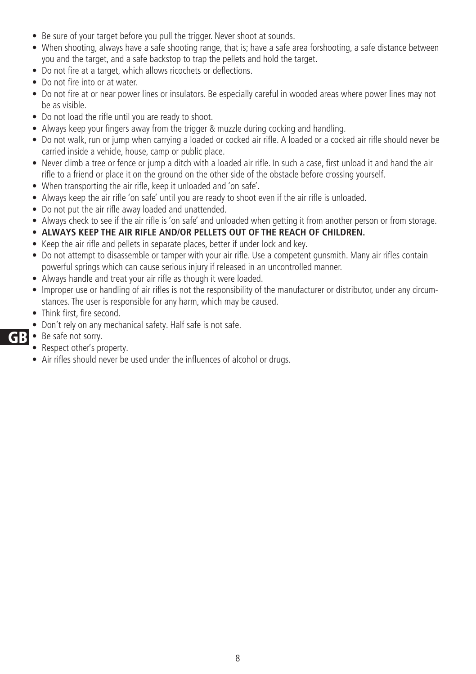- Be sure of your target before you pull the trigger. Never shoot at sounds.
- When shooting, always have a safe shooting range, that is; have a safe area forshooting, a safe distance between you and the target, and a safe backstop to trap the pellets and hold the target.
- Do not fire at a target, which allows ricochets or deflections.
- Do not fire into or at water.
- Do not fire at or near power lines or insulators. Be especially careful in wooded areas where power lines may not be as visible.
- Do not load the rifle until you are ready to shoot.
- Always keep your fingers away from the trigger & muzzle during cocking and handling.
- • Do not walk, run or jump when carrying a loaded or cocked air rifle. A loaded or a cocked air rifle should never be carried inside a vehicle, house, camp or public place.
- Never climb a tree or fence or jump a ditch with a loaded air rifle. In such a case, first unload it and hand the air rifle to a friend or place it on the ground on the other side of the obstacle before crossing yourself.
- When transporting the air rifle, keep it unloaded and 'on safe'.
- Always keep the air rifle 'on safe' until you are ready to shoot even if the air rifle is unloaded.
- Do not put the air rifle away loaded and unattended.
- • Always check to see if the air rifle is 'on safe' and unloaded when getting it from another person or from storage.
- **• ALWAYS KEEP THE AIR RIFLE AND/OR PELLETS OUT OF THE REACH OF CHILDREN.**
- Keep the air rifle and pellets in separate places, better if under lock and key.
- • Do not attempt to disassemble or tamper with your air rifle. Use a competent gunsmith. Many air rifles contain powerful springs which can cause serious injury if released in an uncontrolled manner.
- Always handle and treat your air rifle as though it were loaded.
- • Improper use or handling of air rifles is not the responsibility of the manufacturer or distributor, under any circumstances. The user is responsible for any harm, which may be caused.
- Think first, fire second.
- Don't rely on any mechanical safety. Half safe is not safe.
- Be safe not sorry.
- GB Be safe not sorry.<br>• Respect other's property.
	- Air rifles should never be used under the influences of alcohol or drugs.